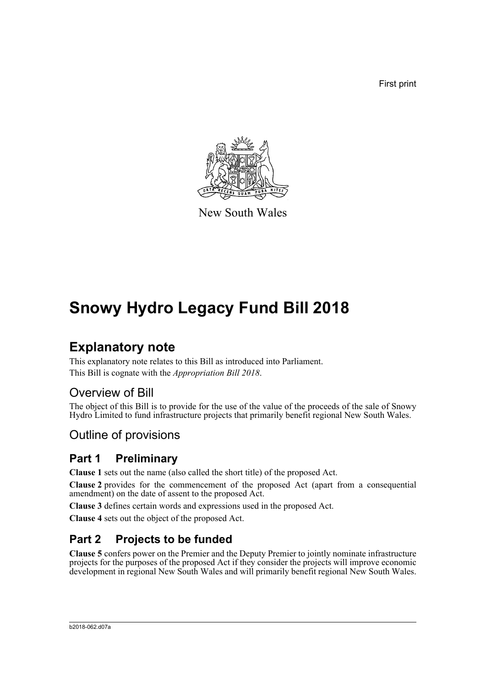First print



New South Wales

# **Snowy Hydro Legacy Fund Bill 2018**

## **Explanatory note**

This explanatory note relates to this Bill as introduced into Parliament. This Bill is cognate with the *Appropriation Bill 2018*.

## Overview of Bill

The object of this Bill is to provide for the use of the value of the proceeds of the sale of Snowy Hydro Limited to fund infrastructure projects that primarily benefit regional New South Wales.

## Outline of provisions

## **Part 1 Preliminary**

**Clause 1** sets out the name (also called the short title) of the proposed Act.

**Clause 2** provides for the commencement of the proposed Act (apart from a consequential amendment) on the date of assent to the proposed Act.

**Clause 3** defines certain words and expressions used in the proposed Act.

**Clause 4** sets out the object of the proposed Act.

## **Part 2 Projects to be funded**

**Clause 5** confers power on the Premier and the Deputy Premier to jointly nominate infrastructure projects for the purposes of the proposed Act if they consider the projects will improve economic development in regional New South Wales and will primarily benefit regional New South Wales.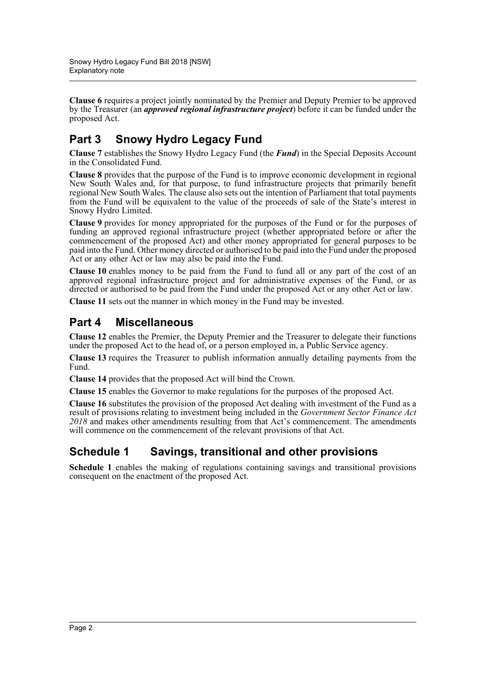**Clause 6** requires a project jointly nominated by the Premier and Deputy Premier to be approved by the Treasurer (an *approved regional infrastructure project*) before it can be funded under the proposed Act.

## **Part 3 Snowy Hydro Legacy Fund**

**Clause 7** establishes the Snowy Hydro Legacy Fund (the *Fund*) in the Special Deposits Account in the Consolidated Fund.

**Clause 8** provides that the purpose of the Fund is to improve economic development in regional New South Wales and, for that purpose, to fund infrastructure projects that primarily benefit regional New South Wales. The clause also sets out the intention of Parliament that total payments from the Fund will be equivalent to the value of the proceeds of sale of the State's interest in Snowy Hydro Limited.

**Clause 9** provides for money appropriated for the purposes of the Fund or for the purposes of funding an approved regional infrastructure project (whether appropriated before or after the commencement of the proposed Act) and other money appropriated for general purposes to be paid into the Fund. Other money directed or authorised to be paid into the Fund under the proposed Act or any other Act or law may also be paid into the Fund.

**Clause 10** enables money to be paid from the Fund to fund all or any part of the cost of an approved regional infrastructure project and for administrative expenses of the Fund, or as directed or authorised to be paid from the Fund under the proposed Act or any other Act or law.

**Clause 11** sets out the manner in which money in the Fund may be invested.

## **Part 4 Miscellaneous**

**Clause 12** enables the Premier, the Deputy Premier and the Treasurer to delegate their functions under the proposed Act to the head of, or a person employed in, a Public Service agency.

**Clause 13** requires the Treasurer to publish information annually detailing payments from the Fund.

**Clause 14** provides that the proposed Act will bind the Crown.

**Clause 15** enables the Governor to make regulations for the purposes of the proposed Act.

**Clause 16** substitutes the provision of the proposed Act dealing with investment of the Fund as a result of provisions relating to investment being included in the *Government Sector Finance Act 2018* and makes other amendments resulting from that Act's commencement. The amendments will commence on the commencement of the relevant provisions of that Act.

## **Schedule 1 Savings, transitional and other provisions**

**Schedule 1** enables the making of regulations containing savings and transitional provisions consequent on the enactment of the proposed Act.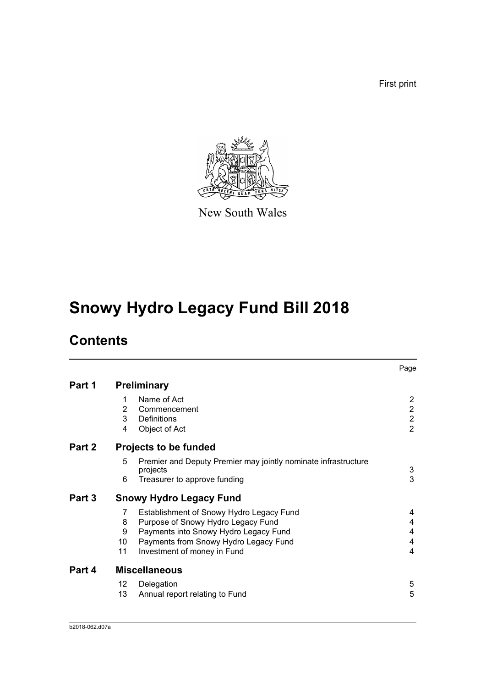First print



New South Wales

# **Snowy Hydro Legacy Fund Bill 2018**

## **Contents**

|        |                                |                                                                            | Page           |  |
|--------|--------------------------------|----------------------------------------------------------------------------|----------------|--|
| Part 1 | <b>Preliminary</b>             |                                                                            |                |  |
|        | 1                              | Name of Act                                                                | $\overline{2}$ |  |
|        | 2                              | Commencement                                                               | $\overline{2}$ |  |
|        | 3                              | <b>Definitions</b>                                                         | $\overline{2}$ |  |
|        | 4                              | Object of Act                                                              | $\overline{2}$ |  |
| Part 2 |                                | <b>Projects to be funded</b>                                               |                |  |
|        | 5                              | Premier and Deputy Premier may jointly nominate infrastructure<br>projects | 3              |  |
|        | 6                              | Treasurer to approve funding                                               | 3              |  |
| Part 3 | <b>Snowy Hydro Legacy Fund</b> |                                                                            |                |  |
|        | 7                              | Establishment of Snowy Hydro Legacy Fund                                   | 4              |  |
|        | 8                              | Purpose of Snowy Hydro Legacy Fund                                         | 4              |  |
|        | 9                              | Payments into Snowy Hydro Legacy Fund                                      | 4              |  |
|        | 10                             | Payments from Snowy Hydro Legacy Fund                                      | 4              |  |
|        | 11                             | Investment of money in Fund                                                | 4              |  |
| Part 4 | <b>Miscellaneous</b>           |                                                                            |                |  |
|        | 12                             | Delegation                                                                 | 5              |  |
|        | 13                             | Annual report relating to Fund                                             | 5              |  |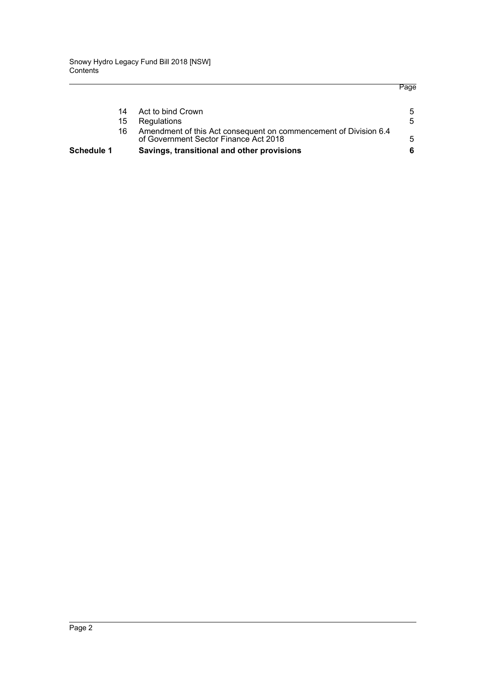|                   |    |                                                                                                           | Page |
|-------------------|----|-----------------------------------------------------------------------------------------------------------|------|
|                   | 14 | Act to bind Crown                                                                                         | 5    |
|                   | 15 | Regulations                                                                                               | 5    |
|                   | 16 | Amendment of this Act consequent on commencement of Division 6.4<br>of Government Sector Finance Act 2018 | 5    |
| <b>Schedule 1</b> |    | Savings, transitional and other provisions                                                                |      |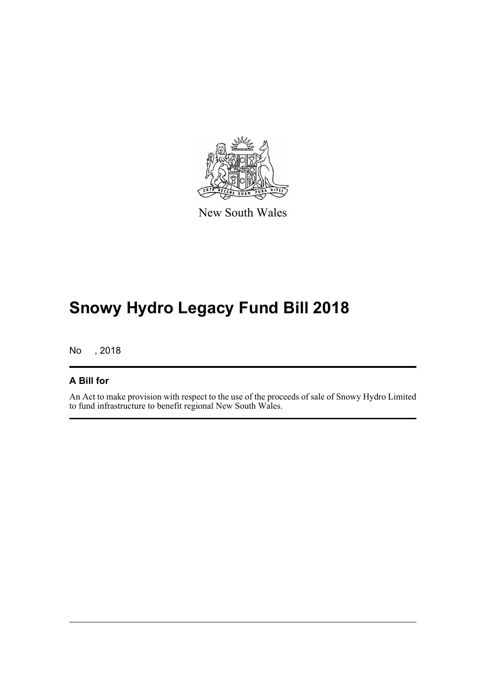

New South Wales

# **Snowy Hydro Legacy Fund Bill 2018**

No , 2018

#### **A Bill for**

An Act to make provision with respect to the use of the proceeds of sale of Snowy Hydro Limited to fund infrastructure to benefit regional New South Wales.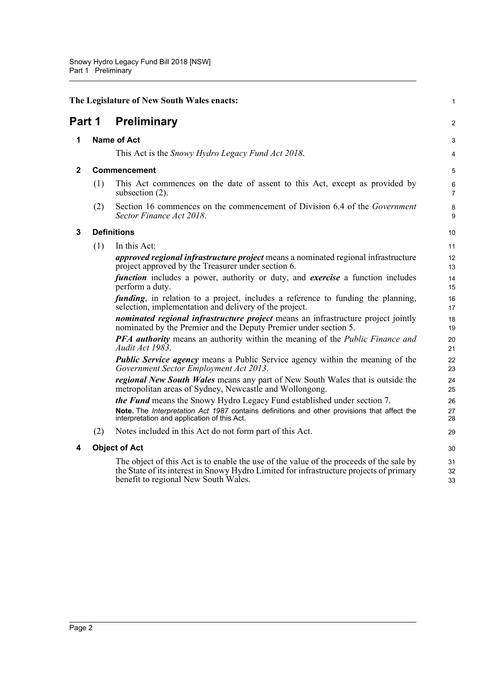<span id="page-5-4"></span><span id="page-5-3"></span><span id="page-5-2"></span><span id="page-5-1"></span><span id="page-5-0"></span>

| Part 1 |     |                                                                                                                                                                                                                            |                     |  |
|--------|-----|----------------------------------------------------------------------------------------------------------------------------------------------------------------------------------------------------------------------------|---------------------|--|
|        |     | <b>Preliminary</b>                                                                                                                                                                                                         | 2                   |  |
| 1      |     | <b>Name of Act</b>                                                                                                                                                                                                         |                     |  |
|        |     | This Act is the <i>Snowy Hydro Legacy Fund Act 2018</i> .                                                                                                                                                                  | 4                   |  |
| 2      |     | <b>Commencement</b>                                                                                                                                                                                                        |                     |  |
|        | (1) | This Act commences on the date of assent to this Act, except as provided by<br>subsection $(2)$ .                                                                                                                          | 6<br>$\overline{7}$ |  |
|        | (2) | Section 16 commences on the commencement of Division 6.4 of the Government<br>Sector Finance Act 2018.                                                                                                                     | 8<br>9              |  |
| 3      |     | <b>Definitions</b>                                                                                                                                                                                                         |                     |  |
|        | (1) | In this Act:                                                                                                                                                                                                               | 11                  |  |
|        |     | <i>approved regional infrastructure project</i> means a nominated regional infrastructure<br>project approved by the Treasurer under section 6.                                                                            | 12<br>13            |  |
|        |     | <i>function</i> includes a power, authority or duty, and <i>exercise</i> a function includes<br>perform a duty.                                                                                                            | 14<br>15            |  |
|        |     | <i>funding</i> , in relation to a project, includes a reference to funding the planning,<br>selection, implementation and delivery of the project.                                                                         | 16<br>17            |  |
|        |     | nominated regional infrastructure project means an infrastructure project jointly<br>nominated by the Premier and the Deputy Premier under section 5.                                                                      | 18<br>19            |  |
|        |     | <b>PFA authority</b> means an authority within the meaning of the <i>Public Finance and</i><br>Audit Act 1983.                                                                                                             | 20<br>21            |  |
|        |     | <b>Public Service agency</b> means a Public Service agency within the meaning of the<br>Government Sector Employment Act 2013.                                                                                             | 22<br>23            |  |
|        |     | <i>regional New South Wales</i> means any part of New South Wales that is outside the<br>metropolitan areas of Sydney, Newcastle and Wollongong.                                                                           | 24<br>25            |  |
|        |     | the Fund means the Snowy Hydro Legacy Fund established under section 7.                                                                                                                                                    | 26                  |  |
|        |     | Note. The Interpretation Act 1987 contains definitions and other provisions that affect the<br>interpretation and application of this Act.                                                                                 | 27<br>28            |  |
|        | (2) | Notes included in this Act do not form part of this Act.                                                                                                                                                                   | 29                  |  |
| 4      |     | <b>Object of Act</b>                                                                                                                                                                                                       |                     |  |
|        |     | The object of this Act is to enable the use of the value of the proceeds of the sale by<br>the State of its interest in Snowy Hydro Limited for infrastructure projects of primary<br>benefit to regional New South Wales. | 31<br>32<br>33      |  |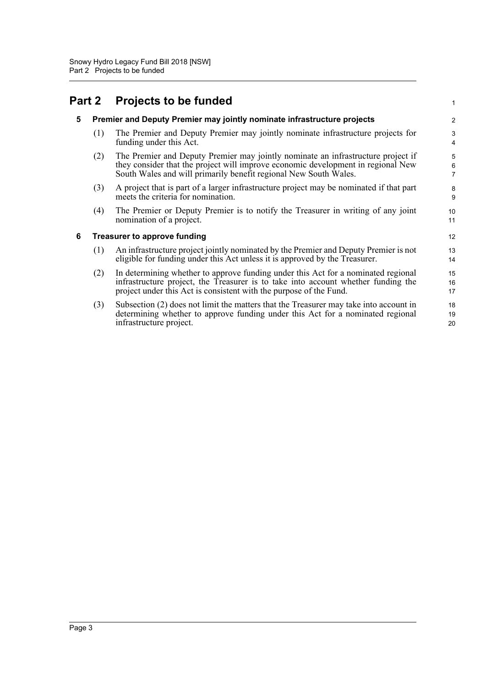#### <span id="page-6-2"></span><span id="page-6-1"></span><span id="page-6-0"></span>**Part 2 Projects to be funded 5 Premier and Deputy Premier may jointly nominate infrastructure projects** (1) The Premier and Deputy Premier may jointly nominate infrastructure projects for funding under this Act. (2) The Premier and Deputy Premier may jointly nominate an infrastructure project if they consider that the project will improve economic development in regional New South Wales and will primarily benefit regional New South Wales. (3) A project that is part of a larger infrastructure project may be nominated if that part meets the criteria for nomination. (4) The Premier or Deputy Premier is to notify the Treasurer in writing of any joint nomination of a project. **6 Treasurer to approve funding** (1) An infrastructure project jointly nominated by the Premier and Deputy Premier is not eligible for funding under this Act unless it is approved by the Treasurer. (2) In determining whether to approve funding under this Act for a nominated regional infrastructure project, the Treasurer is to take into account whether funding the project under this Act is consistent with the purpose of the Fund. (3) Subsection (2) does not limit the matters that the Treasurer may take into account in determining whether to approve funding under this Act for a nominated regional infrastructure project. 1  $\overline{2}$ 3 4 5 6 7 8 9 10 11 12 13 14 15 16 17 18 19 20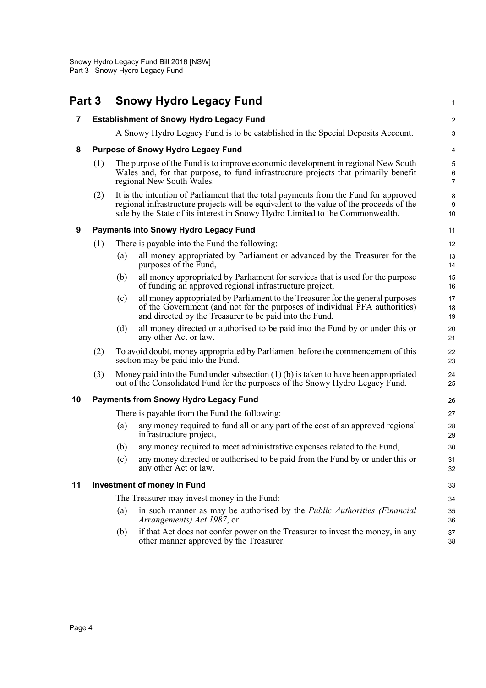<span id="page-7-5"></span><span id="page-7-4"></span><span id="page-7-3"></span><span id="page-7-2"></span><span id="page-7-1"></span><span id="page-7-0"></span>

| Part 3 |                                             |                                                                                                                                                                                                      | <b>Snowy Hydro Legacy Fund</b>                                                                                                                                                                                                                                   | 1                                 |
|--------|---------------------------------------------|------------------------------------------------------------------------------------------------------------------------------------------------------------------------------------------------------|------------------------------------------------------------------------------------------------------------------------------------------------------------------------------------------------------------------------------------------------------------------|-----------------------------------|
| 7      |                                             |                                                                                                                                                                                                      | <b>Establishment of Snowy Hydro Legacy Fund</b>                                                                                                                                                                                                                  | $\boldsymbol{2}$                  |
|        |                                             |                                                                                                                                                                                                      | A Snowy Hydro Legacy Fund is to be established in the Special Deposits Account.                                                                                                                                                                                  | 3                                 |
| 8      |                                             |                                                                                                                                                                                                      | <b>Purpose of Snowy Hydro Legacy Fund</b>                                                                                                                                                                                                                        | 4                                 |
|        | (1)                                         | The purpose of the Fund is to improve economic development in regional New South<br>Wales and, for that purpose, to fund infrastructure projects that primarily benefit<br>regional New South Wales. |                                                                                                                                                                                                                                                                  | $\sqrt{5}$<br>6<br>$\overline{7}$ |
|        | (2)                                         |                                                                                                                                                                                                      | It is the intention of Parliament that the total payments from the Fund for approved<br>regional infrastructure projects will be equivalent to the value of the proceeds of the<br>sale by the State of its interest in Snowy Hydro Limited to the Commonwealth. | 8<br>9<br>10                      |
| 9      |                                             |                                                                                                                                                                                                      | <b>Payments into Snowy Hydro Legacy Fund</b>                                                                                                                                                                                                                     | 11                                |
|        | (1)                                         |                                                                                                                                                                                                      | There is payable into the Fund the following:                                                                                                                                                                                                                    | 12                                |
|        |                                             | (a)                                                                                                                                                                                                  | all money appropriated by Parliament or advanced by the Treasurer for the<br>purposes of the Fund,                                                                                                                                                               | 13<br>14                          |
|        |                                             | (b)                                                                                                                                                                                                  | all money appropriated by Parliament for services that is used for the purpose<br>of funding an approved regional infrastructure project,                                                                                                                        | 15<br>16                          |
|        |                                             | (c)                                                                                                                                                                                                  | all money appropriated by Parliament to the Treasurer for the general purposes<br>of the Government (and not for the purposes of individual PFA authorities)<br>and directed by the Treasurer to be paid into the Fund,                                          | 17<br>18<br>19                    |
|        |                                             | (d)                                                                                                                                                                                                  | all money directed or authorised to be paid into the Fund by or under this or<br>any other Act or law.                                                                                                                                                           | 20<br>21                          |
|        | (2)                                         |                                                                                                                                                                                                      | To avoid doubt, money appropriated by Parliament before the commencement of this<br>section may be paid into the Fund.                                                                                                                                           | 22<br>23                          |
|        | (3)                                         |                                                                                                                                                                                                      | Money paid into the Fund under subsection $(1)(b)$ is taken to have been appropriated<br>out of the Consolidated Fund for the purposes of the Snowy Hydro Legacy Fund.                                                                                           | 24<br>25                          |
| 10     |                                             |                                                                                                                                                                                                      | <b>Payments from Snowy Hydro Legacy Fund</b>                                                                                                                                                                                                                     | 26                                |
|        |                                             |                                                                                                                                                                                                      | There is payable from the Fund the following:                                                                                                                                                                                                                    | 27                                |
|        |                                             | (a)                                                                                                                                                                                                  | any money required to fund all or any part of the cost of an approved regional<br>infrastructure project,                                                                                                                                                        | 28<br>29                          |
|        |                                             | (b)                                                                                                                                                                                                  | any money required to meet administrative expenses related to the Fund,                                                                                                                                                                                          | 30                                |
|        |                                             | (c)                                                                                                                                                                                                  | any money directed or authorised to be paid from the Fund by or under this or<br>any other Act or law.                                                                                                                                                           | 31<br>32                          |
| 11     | <b>Investment of money in Fund</b>          |                                                                                                                                                                                                      | 33                                                                                                                                                                                                                                                               |                                   |
|        | The Treasurer may invest money in the Fund: |                                                                                                                                                                                                      |                                                                                                                                                                                                                                                                  | 34                                |
|        |                                             | (a)                                                                                                                                                                                                  | in such manner as may be authorised by the Public Authorities (Financial<br>Arrangements) Act 1987, or                                                                                                                                                           | 35<br>36                          |
|        |                                             | (b)                                                                                                                                                                                                  | if that Act does not confer power on the Treasurer to invest the money, in any<br>other manner approved by the Treasurer.                                                                                                                                        | 37<br>38                          |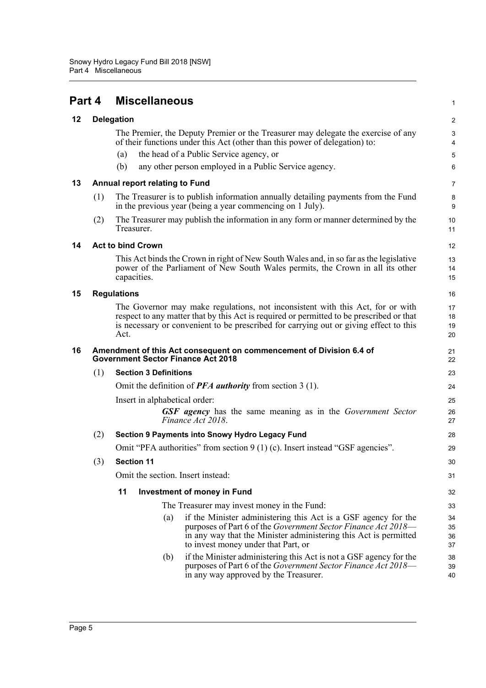<span id="page-8-5"></span><span id="page-8-4"></span><span id="page-8-3"></span><span id="page-8-2"></span><span id="page-8-1"></span><span id="page-8-0"></span>

| Part 4 |                                                                                                                  | <b>Miscellaneous</b>                  |                                                                                                                                                                                                                                                                     | $\mathbf{1}$         |  |  |
|--------|------------------------------------------------------------------------------------------------------------------|---------------------------------------|---------------------------------------------------------------------------------------------------------------------------------------------------------------------------------------------------------------------------------------------------------------------|----------------------|--|--|
| 12     |                                                                                                                  | <b>Delegation</b>                     |                                                                                                                                                                                                                                                                     |                      |  |  |
|        |                                                                                                                  |                                       | The Premier, the Deputy Premier or the Treasurer may delegate the exercise of any<br>of their functions under this Act (other than this power of delegation) to:                                                                                                    | 3<br>4               |  |  |
|        |                                                                                                                  | (a)                                   | the head of a Public Service agency, or                                                                                                                                                                                                                             | 5                    |  |  |
|        |                                                                                                                  | (b)                                   | any other person employed in a Public Service agency.                                                                                                                                                                                                               | 6                    |  |  |
| 13     |                                                                                                                  | <b>Annual report relating to Fund</b> |                                                                                                                                                                                                                                                                     |                      |  |  |
|        | (1)                                                                                                              |                                       | The Treasurer is to publish information annually detailing payments from the Fund<br>in the previous year (being a year commencing on 1 July).                                                                                                                      | 8<br>9               |  |  |
|        | (2)                                                                                                              | Treasurer.                            | The Treasurer may publish the information in any form or manner determined by the                                                                                                                                                                                   | 10<br>11             |  |  |
| 14     |                                                                                                                  | <b>Act to bind Crown</b>              |                                                                                                                                                                                                                                                                     | $12 \overline{ }$    |  |  |
|        |                                                                                                                  | capacities.                           | This Act binds the Crown in right of New South Wales and, in so far as the legislative<br>power of the Parliament of New South Wales permits, the Crown in all its other                                                                                            | 13<br>14<br>15       |  |  |
| 15     | <b>Regulations</b>                                                                                               |                                       |                                                                                                                                                                                                                                                                     |                      |  |  |
|        |                                                                                                                  | Act.                                  | The Governor may make regulations, not inconsistent with this Act, for or with<br>respect to any matter that by this Act is required or permitted to be prescribed or that<br>is necessary or convenient to be prescribed for carrying out or giving effect to this | 17<br>18<br>19<br>20 |  |  |
| 16     | Amendment of this Act consequent on commencement of Division 6.4 of<br><b>Government Sector Finance Act 2018</b> |                                       |                                                                                                                                                                                                                                                                     |                      |  |  |
|        | (1)                                                                                                              | <b>Section 3 Definitions</b>          |                                                                                                                                                                                                                                                                     | 23                   |  |  |
|        |                                                                                                                  |                                       | Omit the definition of <b>PFA</b> authority from section $3(1)$ .                                                                                                                                                                                                   | 24                   |  |  |
|        |                                                                                                                  | Insert in alphabetical order:         |                                                                                                                                                                                                                                                                     | 25                   |  |  |
|        |                                                                                                                  |                                       | <b>GSF</b> agency has the same meaning as in the Government Sector<br>Finance Act 2018.                                                                                                                                                                             | 26<br>27             |  |  |
|        | (2)                                                                                                              |                                       | Section 9 Payments into Snowy Hydro Legacy Fund                                                                                                                                                                                                                     | 28                   |  |  |
|        |                                                                                                                  |                                       | Omit "PFA authorities" from section $9(1)(c)$ . Insert instead "GSF agencies".                                                                                                                                                                                      | 29                   |  |  |
|        | (3)                                                                                                              | <b>Section 11</b>                     |                                                                                                                                                                                                                                                                     | 30                   |  |  |
|        |                                                                                                                  |                                       | Omit the section. Insert instead:                                                                                                                                                                                                                                   | 31                   |  |  |
|        | 11<br><b>Investment of money in Fund</b>                                                                         |                                       |                                                                                                                                                                                                                                                                     |                      |  |  |
|        | The Treasurer may invest money in the Fund:                                                                      |                                       |                                                                                                                                                                                                                                                                     |                      |  |  |
|        |                                                                                                                  | (a)                                   | if the Minister administering this Act is a GSF agency for the<br>purposes of Part 6 of the Government Sector Finance Act 2018-<br>in any way that the Minister administering this Act is permitted<br>to invest money under that Part, or                          | 34<br>35<br>36<br>37 |  |  |
|        |                                                                                                                  | (b)                                   | if the Minister administering this Act is not a GSF agency for the<br>purposes of Part 6 of the Government Sector Finance Act 2018-<br>in any way approved by the Treasurer.                                                                                        | 38<br>39<br>40       |  |  |